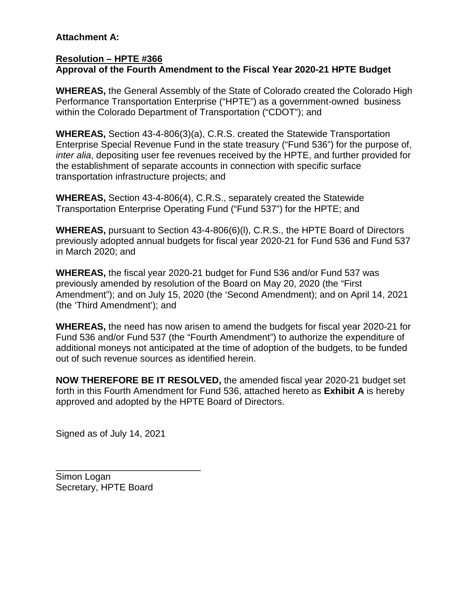## **Attachment A:**

## **Resolution – HPTE #366 Approval of the Fourth Amendment to the Fiscal Year 2020-21 HPTE Budget**

**WHEREAS,** the General Assembly of the State of Colorado created the Colorado High Performance Transportation Enterprise ("HPTE") as a government-owned business within the Colorado Department of Transportation ("CDOT"); and

**WHEREAS,** Section 43-4-806(3)(a), C.R.S. created the Statewide Transportation Enterprise Special Revenue Fund in the state treasury ("Fund 536") for the purpose of, *inter alia*, depositing user fee revenues received by the HPTE, and further provided for the establishment of separate accounts in connection with specific surface transportation infrastructure projects; and

**WHEREAS,** Section 43-4-806(4), C.R.S., separately created the Statewide Transportation Enterprise Operating Fund ("Fund 537") for the HPTE; and

**WHEREAS,** pursuant to Section 43-4-806(6)(l), C.R.S., the HPTE Board of Directors previously adopted annual budgets for fiscal year 2020-21 for Fund 536 and Fund 537 in March 2020; and

**WHEREAS,** the fiscal year 2020-21 budget for Fund 536 and/or Fund 537 was previously amended by resolution of the Board on May 20, 2020 (the "First Amendment"); and on July 15, 2020 (the 'Second Amendment); and on April 14, 2021 (the 'Third Amendment'); and

**WHEREAS,** the need has now arisen to amend the budgets for fiscal year 2020-21 for Fund 536 and/or Fund 537 (the "Fourth Amendment") to authorize the expenditure of additional moneys not anticipated at the time of adoption of the budgets, to be funded out of such revenue sources as identified herein.

**NOW THEREFORE BE IT RESOLVED,** the amended fiscal year 2020-21 budget set forth in this Fourth Amendment for Fund 536, attached hereto as **Exhibit A** is hereby approved and adopted by the HPTE Board of Directors.

Signed as of July 14, 2021

\_\_\_\_\_\_\_\_\_\_\_\_\_\_\_\_\_\_\_\_\_\_\_\_\_\_\_\_

Simon Logan Secretary, HPTE Board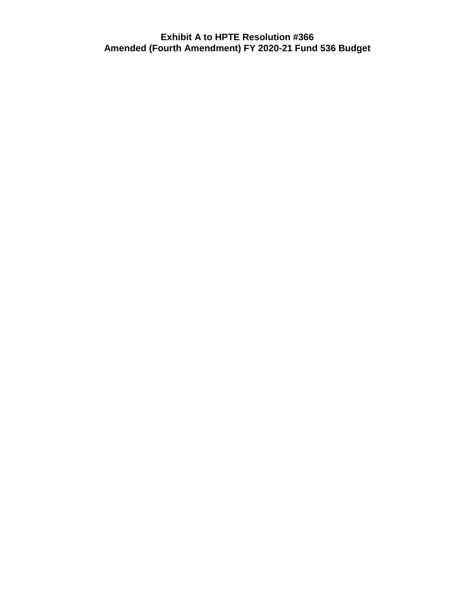## **Exhibit A to HPTE Resolution #366 Amended (Fourth Amendment) FY 2020-21 Fund 536 Budget**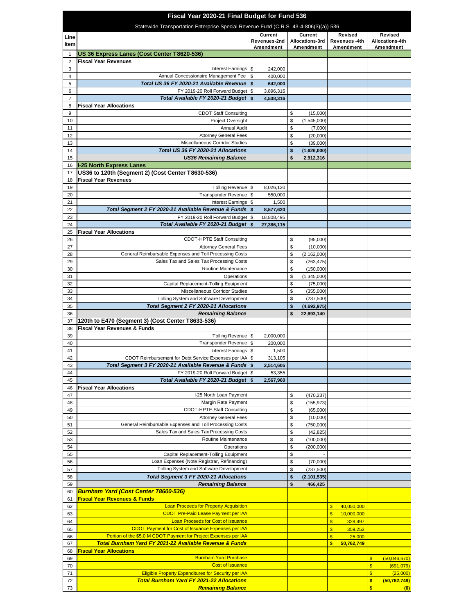| Fiscal Year 2020-21 Final Budget for Fund 536 |                                                                                                                             |               |                         |          |                            |                               |                         |               |                            |  |
|-----------------------------------------------|-----------------------------------------------------------------------------------------------------------------------------|---------------|-------------------------|----------|----------------------------|-------------------------------|-------------------------|---------------|----------------------------|--|
|                                               | Statewide Transportation Enterprise Special Revenue Fund (C.R.S. 43-4-806(3)(a)) 536                                        |               |                         |          |                            |                               |                         |               |                            |  |
| Line                                          |                                                                                                                             |               | Current<br>Revenues-2nd |          | Current<br>Allocations-3rd |                               | Revised<br>Revenues-4th |               | Revised<br>Allocations-4th |  |
| Item                                          |                                                                                                                             |               | Amendment               |          | Amendment                  |                               | Amendment               |               | Amendment                  |  |
| 1                                             | US 36 Express Lanes (Cost Center T8620-536)                                                                                 |               |                         |          |                            |                               |                         |               |                            |  |
| $\overline{2}$<br>3                           | <b>Fiscal Year Revenues</b><br><b>Interest Earnings</b>                                                                     | \$            | 242,000                 |          |                            |                               |                         |               |                            |  |
| 4                                             | Annual Concessionaire Management Fee                                                                                        | \$            | 400,000                 |          |                            |                               |                         |               |                            |  |
| 5                                             | Total US 36 FY 2020-21 Available Revenue                                                                                    | $\frac{2}{3}$ | 642,000                 |          |                            |                               |                         |               |                            |  |
| 6                                             | FY 2019-20 Roll Forward Budget                                                                                              | \$            | 3,896,316               |          |                            |                               |                         |               |                            |  |
| 7                                             | Total Available FY 2020-21 Budget                                                                                           | \$            | 4,538,316               |          |                            |                               |                         |               |                            |  |
| 8<br>9                                        | <b>Fiscal Year Allocations</b><br><b>CDOT Staff Consulting</b>                                                              |               |                         | \$       | (15,000)                   |                               |                         |               |                            |  |
| 10                                            | Project Oversight                                                                                                           |               |                         | \$       | (1,545,000)                |                               |                         |               |                            |  |
| 11                                            | <b>Annual Audit</b>                                                                                                         |               |                         | \$       | (7,000)                    |                               |                         |               |                            |  |
| 12                                            | <b>Attorney General Fees</b>                                                                                                |               |                         | \$       | (20,000)                   |                               |                         |               |                            |  |
| 13                                            | Miscellaneous Corridor Studies                                                                                              |               |                         | \$       | (39,000)                   |                               |                         |               |                            |  |
| 14<br>15                                      | Total US 36 FY 2020-21 Allocations<br><b>US36 Remaining Balance</b>                                                         |               |                         | \$<br>\$ | (1,626,000)<br>2,912,316   |                               |                         |               |                            |  |
| 16                                            | <b>I-25 North Express Lanes</b>                                                                                             |               |                         |          |                            |                               |                         |               |                            |  |
| 17                                            | US36 to 120th (Segment 2) (Cost Center T8630-536)                                                                           |               |                         |          |                            |                               |                         |               |                            |  |
| 18                                            | <b>Fiscal Year Revenues</b>                                                                                                 |               |                         |          |                            |                               |                         |               |                            |  |
| 19                                            | <b>Tolling Revenue</b>                                                                                                      | \$            | 8,026,120               |          |                            |                               |                         |               |                            |  |
| 20<br>21                                      | <b>Transponder Revenue</b><br><b>Interest Earnings</b>                                                                      | \$<br>\$      | 550,000<br>1,500        |          |                            |                               |                         |               |                            |  |
| 22                                            | Total Segment 2 FY 2020-21 Available Revenue & Funds                                                                        | \$            | 8,577,620               |          |                            |                               |                         |               |                            |  |
| 23                                            | FY 2019-20 Roll Forward Budget                                                                                              | \$            | 18,808,495              |          |                            |                               |                         |               |                            |  |
| 24                                            | Total Available FY 2020-21 Budget                                                                                           | \$            | 27,386,115              |          |                            |                               |                         |               |                            |  |
| 25                                            | <b>Fiscal Year Allocations</b>                                                                                              |               |                         |          |                            |                               |                         |               |                            |  |
| 26<br>27                                      | CDOT-HPTE Staff Consulting<br><b>Attorney General Fees</b>                                                                  |               |                         | \$<br>\$ | (95,000)<br>(10,000)       |                               |                         |               |                            |  |
| 28                                            | General Reimbursable Expenses and Toll Processing Costs                                                                     |               |                         | \$       | (2, 162, 000)              |                               |                         |               |                            |  |
| 29                                            | Sales Tax and Sales Tax Processing Costs                                                                                    |               |                         | \$       | (263, 475)                 |                               |                         |               |                            |  |
| 30                                            | Routine Maintenance                                                                                                         |               |                         | \$       | (150,000)                  |                               |                         |               |                            |  |
| 31                                            | Operations                                                                                                                  |               |                         | \$       | (1,345,000)                |                               |                         |               |                            |  |
| 32<br>33                                      | Capital Replacement-Tolling Equipment<br>Miscellaneous Corridor Studies                                                     |               |                         | \$<br>\$ | (75,000)<br>(355,000)      |                               |                         |               |                            |  |
| 34                                            | Tolling System and Software Development                                                                                     |               |                         | \$       | (237, 500)                 |                               |                         |               |                            |  |
| 35                                            | Total Segment 2 FY 2020-21 Allocations                                                                                      |               |                         | \$       | (4,692,975)                |                               |                         |               |                            |  |
| 36                                            | <b>Remaining Balance</b>                                                                                                    |               |                         | \$       | 22,693,140                 |                               |                         |               |                            |  |
| 37                                            | 120th to E470 (Segment 3) (Cost Center T8633-536)<br><b>Fiscal Year Revenues &amp; Funds</b>                                |               |                         |          |                            |                               |                         |               |                            |  |
| 38<br>39                                      | <b>Tolling Revenue</b>                                                                                                      | \$            | 2,000,000               |          |                            |                               |                         |               |                            |  |
| 40                                            | <b>Transponder Revenue</b>                                                                                                  | \$            | 200,000                 |          |                            |                               |                         |               |                            |  |
| 41                                            | <b>Interest Earnings</b>                                                                                                    | \$            | 1,500                   |          |                            |                               |                         |               |                            |  |
| 42                                            | CDOT Reimbursement for Debt Service Expenses per IAA                                                                        | \$            | 313,105                 |          |                            |                               |                         |               |                            |  |
| 43<br>44                                      | Total Segment 3 FY 2020-21 Available Revenue & Funds \$<br>FY 2019-20 Roll Forward Budget                                   | \$            | 2,514,605<br>53,355     |          |                            |                               |                         |               |                            |  |
| 45                                            | Total Available FY 2020-21 Budget                                                                                           | $\mathbf{s}$  | 2,567,960               |          |                            |                               |                         |               |                            |  |
| 46                                            | <b>Fiscal Year Allocations</b>                                                                                              |               |                         |          |                            |                               |                         |               |                            |  |
| 47                                            | I-25 North Loan Payment                                                                                                     |               |                         | \$       | (470, 237)                 |                               |                         |               |                            |  |
| 48                                            | Margin Rate Payment                                                                                                         |               |                         | \$       | (155, 973)                 |                               |                         |               |                            |  |
| 49<br>50                                      | <b>CDOT-HPTE Staff Consulting</b><br><b>Attorney General Fees</b>                                                           |               |                         | \$<br>\$ | (65,000)<br>(10,000)       |                               |                         |               |                            |  |
| 51                                            | General Reimbursable Expenses and Toll Processing Costs                                                                     |               |                         | \$       | (750,000)                  |                               |                         |               |                            |  |
| 52                                            | Sales Tax and Sales Tax Processing Costs                                                                                    |               |                         | \$       | (42, 825)                  |                               |                         |               |                            |  |
| 53                                            | Routine Maintenance                                                                                                         |               |                         | \$       | (100,000)                  |                               |                         |               |                            |  |
| 54                                            | Operations<br>Capital Replacement-Tolling Equipment                                                                         |               |                         | \$       | (200,000)                  |                               |                         |               |                            |  |
| 55<br>56                                      | Loan Expenses (Note Registrar, Refinancing)                                                                                 |               |                         | \$<br>\$ | (70,000)                   |                               |                         |               |                            |  |
| 57                                            | Tolling System and Software Development                                                                                     |               |                         | \$       | (237, 500)                 |                               |                         |               |                            |  |
| 58                                            | Total Segment 3 FY 2020-21 Allocations                                                                                      |               |                         | \$       | (2, 101, 535)              |                               |                         |               |                            |  |
| 59                                            | <b>Remaining Balance</b>                                                                                                    |               |                         | \$       | 466,425                    |                               |                         |               |                            |  |
| 60<br>61                                      | <b>Burnham Yard (Cost Center T8600-536)</b><br><b>Fiscal Year Revenues &amp; Funds</b>                                      |               |                         |          |                            |                               |                         |               |                            |  |
| 62                                            | <b>Loan Proceeds for Property Acquisition</b>                                                                               |               |                         |          |                            | $\mathbf{\overline{s}}$       | 40,050,000              |               |                            |  |
| 63                                            | <b>CDOT Pre-Paid Lease Payment per IAA</b>                                                                                  |               |                         |          |                            | $\sqrt{3}$                    | 10,000,000              |               |                            |  |
| 64                                            | <b>Loan Proceeds for Cost of Issuance</b>                                                                                   |               |                         |          |                            | $\sqrt{3}$                    | 328,497                 |               |                            |  |
| 65                                            | CDOT Payment for Cost of Issuance Expenses per IAA                                                                          |               |                         |          |                            | $\sqrt{3}$                    | 359,252                 |               |                            |  |
| 66<br>67                                      | Portion of the \$5.0 M CDOT Payment for Project Expenses per IAA<br>Total Burnham Yard FY 2021-22 Available Revenue & Funds |               |                         |          |                            | $\overline{\mathbb{S}}$<br>\$ | 25,000<br>50,762,749    |               |                            |  |
| 68                                            | <b>Fiscal Year Allocations</b>                                                                                              |               |                         |          |                            |                               |                         |               |                            |  |
| 69                                            | <b>Burnham Yard Purchase</b>                                                                                                |               |                         |          |                            |                               |                         | $\sqrt{3}$    | (50,046,670)               |  |
| 70                                            | <b>Cost of Issuance</b>                                                                                                     |               |                         |          |                            |                               |                         | $\sqrt[6]{3}$ | (691,079)                  |  |
| 71                                            | Eligible Property Expenditures for Security per IAA                                                                         |               |                         |          |                            |                               |                         | \$            | (25,000)                   |  |
| 72<br>73                                      | <b>Total Burnham Yard FY 2021-22 Allocations</b><br><b>Remaining Balance</b>                                                |               |                         |          |                            |                               |                         | \$<br>\$      | (50, 762, 749)<br>(0)      |  |
|                                               |                                                                                                                             |               |                         |          |                            |                               |                         |               |                            |  |